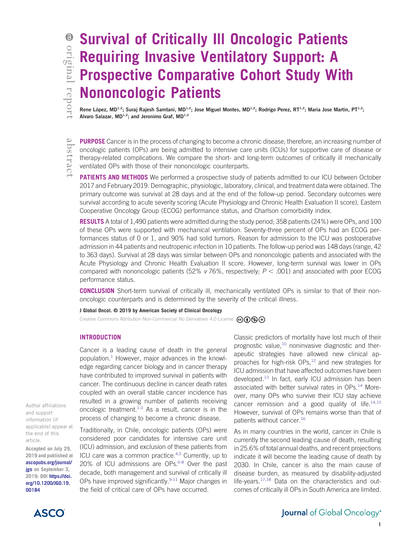abstract

# Survival of Critically Ill Oncologic Patients Requiring Invasive Ventilatory Support: A Prospective Comparative Cohort Study With Nononcologic Patients

Rene López, MD<sup>1,2</sup>; Suraj Rajesh Samtani, MD<sup>1,2</sup>; Jose Miguel Montes, MD<sup>1,2</sup>; Rodrigo Perez, RT<sup>1,2</sup>; Maria Jose Martin, PT<sup>1,2</sup>; Alvaro Salazar, MD<sup>1,2</sup>; and Jeronimo Graf, MD<sup>1,2</sup>

**PURPOSE** Cancer is in the process of changing to become a chronic disease; therefore, an increasing number of oncologic patients (OPs) are being admitted to intensive care units (ICUs) for supportive care of disease or therapy-related complications. We compare the short- and long-term outcomes of critically ill mechanically ventilated OPs with those of their nononcologic counterparts.

**PATIENTS AND METHODS** We performed a prospective study of patients admitted to our ICU between October 2017 and February 2019. Demographic, physiologic, laboratory, clinical, and treatment data were obtained. The primary outcome was survival at 28 days and at the end of the follow-up period. Secondary outcomes were survival according to acute severity scoring (Acute Physiology and Chronic Health Evaluation II score), Eastern Cooperative Oncology Group (ECOG) performance status, and Charlson comorbidity index.

RESULTS A total of 1,490 patients were admitted during the study period; 358 patients (24%) were OPs, and 100 of these OPs were supported with mechanical ventilation. Seventy-three percent of OPs had an ECOG performances status of 0 or 1, and 90% had solid tumors. Reason for admission to the ICU was postoperative admission in 44 patients and neutropenic infection in 10 patients. The follow-up period was 148 days (range, 42 to 363 days). Survival at 28 days was similar between OPs and nononcologic patients and associated with the Acute Physiology and Chronic Health Evaluation II score. However, long-term survival was lower in OPs compared with nononcologic patients (52%  $v$  76%, respectively;  $P < .001$ ) and associated with poor ECOG performance status.

**CONCLUSION** Short-term survival of critically ill, mechanically ventilated OPs is similar to that of their nononcologic counterparts and is determined by the severity of the critical illness.

J Global Oncol. © 2019 by American Society of Clinical Oncology

Creative Commons Attribution Non-Commercial No Derivatives 4.0 License  $\mathbb{G}(\widehat{\mathbf{i}})$ 

## INTRODUCTION

Cancer is a leading cause of death in the general population. $<sup>1</sup>$  $<sup>1</sup>$  $<sup>1</sup>$  However, major advances in the knowl-</sup> edge regarding cancer biology and in cancer therapy have contributed to improved survival in patients with cancer. The continuous decline in cancer death rates coupled with an overall stable cancer incidence has resulted in a growing number of patients receiving oncologic treatment. $1-3$  As a result, cancer is in the process of changing to become a chronic disease.

Traditionally, in Chile, oncologic patients (OPs) were considered poor candidates for intensive care unit (ICU) admission, and exclusion of these patients from ICU care was a common practice.[4,5](#page-6-0) Currently, up to 20% of ICU admissions are OPs.<sup>[6-8](#page-6-0)</sup> Over the past decade, both management and survival of critically ill OPs have improved significantly. $9-11$  Major changes in the field of critical care of OPs have occurred.

Classic predictors of mortality have lost much of their prognostic value, $10$  noninvasive diagnostic and therapeutic strategies have allowed new clinical approaches for high-risk OPs,<sup>12</sup> and new strategies for ICU admission that have affected outcomes have been developed.<sup>[13](#page-6-0)</sup> In fact, early ICU admission has been associated with better survival rates in OPs.[14](#page-6-0) Moreover, many OPs who survive their ICU stay achieve cancer remission and a good quality of life. $14,15$ However, survival of OPs remains worse than that of patients without cancer.[16](#page-6-0)

As in many countries in the world, cancer in Chile is currently the second leading cause of death, resulting in 25.6% of total annual deaths, and recent projections indicate it will become the leading cause of death by 2030. In Chile, cancer is also the main cause of disease burden, as measured by disability-adjusted life-years.<sup>[17](#page-6-0),[18](#page-7-0)</sup> Data on the characteristics and outcomes of critically ill OPs in South America are limited.

Author affiliations and support information (if applicable) appear at the end of this article.

Accepted on July 29, 2019 and published at [ascopubs.org/journal/](http://ascopubs.org/journal/jgo) [jgo](http://ascopubs.org/journal/jgo) on September 3, 2019: DOI [https://doi.](http://ascopubs.org/doi/full/10.1200/JGO.19.00184) [org/10.1200/JGO.19.](http://ascopubs.org/doi/full/10.1200/JGO.19.00184) [00184](http://ascopubs.org/doi/full/10.1200/JGO.19.00184)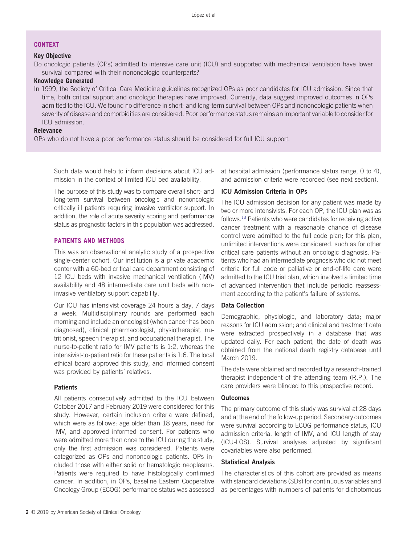# CONTEXT

## Key Objective

Do oncologic patients (OPs) admitted to intensive care unit (ICU) and supported with mechanical ventilation have lower survival compared with their nononcologic counterparts?

## Knowledge Generated

In 1999, the Society of Critical Care Medicine guidelines recognized OPs as poor candidates for ICU admission. Since that time, both critical support and oncologic therapies have improved. Currently, data suggest improved outcomes in OPs admitted to the ICU. We found no difference in short- and long-term survival between OPs and nononcologic patients when severity of disease and comorbidities are considered. Poor performance status remains an important variable to consider for ICU admission.

## Relevance

OPs who do not have a poor performance status should be considered for full ICU support.

Such data would help to inform decisions about ICU admission in the context of limited ICU bed availability.

The purpose of this study was to compare overall short- and long-term survival between oncologic and nononcologic critically ill patients requiring invasive ventilator support. In addition, the role of acute severity scoring and performance status as prognostic factors in this population was addressed.

## PATIENTS AND METHODS

This was an observational analytic study of a prospective single-center cohort. Our institution is a private academic center with a 60-bed critical care department consisting of 12 ICU beds with invasive mechanical ventilation (IMV) availability and 48 intermediate care unit beds with noninvasive ventilatory support capability.

Our ICU has intensivist coverage 24 hours a day, 7 days a week. Multidisciplinary rounds are performed each morning and include an oncologist (when cancer has been diagnosed), clinical pharmacologist, physiotherapist, nutritionist, speech therapist, and occupational therapist. The nurse-to-patient ratio for IMV patients is 1:2, whereas the intensivist-to-patient ratio for these patients is 1:6. The local ethical board approved this study, and informed consent was provided by patients' relatives.

## **Patients**

All patients consecutively admitted to the ICU between October 2017 and February 2019 were considered for this study. However, certain inclusion criteria were defined, which were as follows: age older than 18 years, need for IMV, and approved informed consent. For patients who were admitted more than once to the ICU during the study, only the first admission was considered. Patients were categorized as OPs and nononcologic patients. OPs included those with either solid or hematologic neoplasms. Patients were required to have histologically confirmed cancer. In addition, in OPs, baseline Eastern Cooperative Oncology Group (ECOG) performance status was assessed

at hospital admission (performance status range, 0 to 4), and admission criteria were recorded (see next section).

## ICU Admission Criteria in OPs

The ICU admission decision for any patient was made by two or more intensivists. For each OP, the ICU plan was as follows.<sup>13</sup> Patients who were candidates for receiving active cancer treatment with a reasonable chance of disease control were admitted to the full code plan; for this plan, unlimited interventions were considered, such as for other critical care patients without an oncologic diagnosis. Patients who had an intermediate prognosis who did not meet criteria for full code or palliative or end-of-life care were admitted to the ICU trial plan, which involved a limited time of advanced intervention that include periodic reassessment according to the patient's failure of systems.

## Data Collection

Demographic, physiologic, and laboratory data; major reasons for ICU admission; and clinical and treatment data were extracted prospectively in a database that was updated daily. For each patient, the date of death was obtained from the national death registry database until March 2019.

The data were obtained and recorded by a research-trained therapist independent of the attending team (R.P.). The care providers were blinded to this prospective record.

## **Outcomes**

The primary outcome of this study was survival at 28 days and at the end of the follow-up period. Secondary outcomes were survival according to ECOG performance status, ICU admission criteria, length of IMV, and ICU length of stay (ICU-LOS). Survival analyses adjusted by significant covariables were also performed.

## Statistical Analysis

The characteristics of this cohort are provided as means with standard deviations (SDs) for continuous variables and as percentages with numbers of patients for dichotomous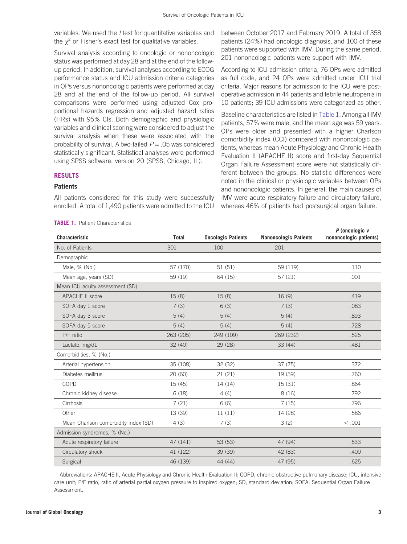variables. We used the  $t$  test for quantitative variables and the  $\chi^2$  or Fisher's exact test for qualitative variables.

Survival analysis according to oncologic or nononcologic status was performed at day 28 and at the end of the followup period. In addition, survival analyses according to ECOG performance status and ICU admission criteria categories in OPs versus nononcologic patients were performed at day 28 and at the end of the follow-up period. All survival comparisons were performed using adjusted Cox proportional hazards regression and adjusted hazard ratios (HRs) with 95% CIs. Both demographic and physiologic variables and clinical scoring were considered to adjust the survival analysis when these were associated with the probability of survival. A two-tailed  $P = .05$  was considered statistically significant. Statistical analyses were performed using SPSS software, version 20 (SPSS, Chicago, IL).

#### RESULTS

### **Patients**

All patients considered for this study were successfully enrolled. A total of 1,490 patients were admitted to the ICU between October 2017 and February 2019. A total of 358 patients (24%) had oncologic diagnosis, and 100 of these patients were supported with IMV. During the same period, 201 nononcologic patients were support with IMV.

According to ICU admission criteria, 76 OPs were admitted as full code, and 24 OPs were admitted under ICU trial criteria. Major reasons for admission to the ICU were postoperative admission in 44 patients and febrile neutropenia in 10 patients; 39 ICU admissions were categorized as other.

Baseline characteristics are listed in Table 1. Among all IMV patients, 57% were male, and the mean age was 59 years. OPs were older and presented with a higher Charlson comorbidity index (CCI) compared with nononcologic patients, whereas mean Acute Physiology and Chronic Health Evaluation II (APACHE II) score and first-day Sequential Organ Failure Assessment score were not statistically different between the groups. No statistic differences were noted in the clinical or physiologic variables between OPs and nononcologic patients. In general, the main causes of IMV were acute respiratory failure and circulatory failure, whereas 46% of patients had postsurgical organ failure.

P (oncologic v

| Characteristic                       | <b>Total</b> | <b>Oncologic Patients</b> | <b>Nononcologic Patients</b> | $P$ (oncologic $V$<br>nononcologic patients) |
|--------------------------------------|--------------|---------------------------|------------------------------|----------------------------------------------|
| No. of Patients                      | 301          | 100                       | 201                          |                                              |
| Demographic                          |              |                           |                              |                                              |
| Male, % (No.)                        | 57 (170)     | 51 (51)                   | 59 (119)                     | .110                                         |
| Mean age, years (SD)                 | 59 (19)      | 64 (15)                   | 57 (21)                      | .001                                         |
| Mean ICU acuity assessment (SD)      |              |                           |                              |                                              |
| <b>APACHE II score</b>               | 15(8)        | 15(8)                     | 16(9)                        | .419                                         |
| SOFA day 1 score                     | 7(3)         | 6(3)                      | 7(3)                         | .083                                         |
| SOFA day 3 score                     | 5(4)         | 5(4)                      | 5(4)                         | .893                                         |
| SOFA day 5 score                     | 5(4)         | 5(4)                      | 5(4)                         | .728                                         |
| P/F ratio                            | 263 (205)    | 249 (109)                 | 269 (232)                    | .525                                         |
| Lactate, mg/dL                       | 32(40)       | 29(28)                    | 33(44)                       | .481                                         |
| Comorbidities, % (No.)               |              |                           |                              |                                              |
| Arterial hypertension                | 35 (108)     | 32 (32)                   | 37(75)                       | .372                                         |
| Diabetes mellitus                    | 20 (60)      | 21(21)                    | 19 (39)                      | .760                                         |
| COPD                                 | 15(45)       | 14 (14)                   | 15(31)                       | .864                                         |
| Chronic kidney disease               | 6(18)        | 4(4)                      | 8(16)                        | .792                                         |
| Cirrhosis                            | 7(21)        | 6(6)                      | 7(15)                        | .796                                         |
| Other                                | 13 (39)      | 11(11)                    | 14 (28)                      | .586                                         |
| Mean Charlson comorbidity index (SD) | 4(3)         | 7(3)                      | 3(2)                         | < .001                                       |
| Admission syndromes, % (No.)         |              |                           |                              |                                              |
| Acute respiratory failure            | 47 (141)     | 53 (53)                   | 47 (94)                      | .533                                         |
| Circulatory shock                    | 41 (122)     | 39 (39)                   | 42 (83)                      | .400                                         |
| Surgical                             | 46 (139)     | 44 (44)                   | 47 (95)                      | .625                                         |

Abbreviations: APACHE II, Acute Physiology and Chronic Health Evaluation II; COPD, chronic obstructive pulmonary disease; ICU, intensive care unit; P/F ratio, ratio of arterial partial oxygen pressure to inspired oxygen; SD, standard deviation; SOFA, Sequential Organ Failure Assessment.

#### TABLE 1. Patient Characteristics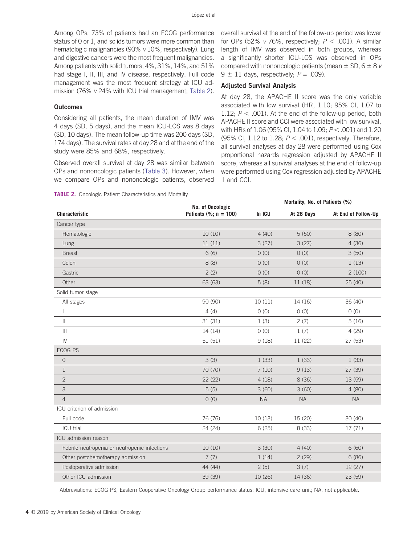Among OPs, 73% of patients had an ECOG performance status of 0 or 1, and solids tumors were more common than hematologic malignancies (90% v 10%, respectively). Lung and digestive cancers were the most frequent malignancies. Among patients with solid tumors, 4%, 31%, 14%, and 51% had stage I, II, III, and IV disease, respectively. Full code management was the most frequent strategy at ICU admission (76% v 24% with ICU trial management; Table 2).

## **Outcomes**

Considering all patients, the mean duration of IMV was 4 days (SD, 5 days), and the mean ICU-LOS was 8 days (SD, 10 days). The mean follow-up time was 200 days (SD, 174 days). The survival rates at day 28 and at the end of the study were 85% and 68%, respectively.

Observed overall survival at day 28 was similar between OPs and nononcologic patients ([Table 3\)](#page-4-0). However, when we compare OPs and nononcologic patients, observed overall survival at the end of the follow-up period was lower for OPs (52% v 76%, respectively;  $P < .001$ ). A similar length of IMV was observed in both groups, whereas a significantly shorter ICU-LOS was observed in OPs compared with nononcologic patients (mean  $\pm$  SD, 6  $\pm$  8 v  $9 \pm 11$  days, respectively;  $P = .009$ ).

## Adjusted Survival Analysis

At day 28, the APACHE II score was the only variable associated with low survival (HR, 1.10; 95% CI, 1.07 to 1.12;  $P < .001$ ). At the end of the follow-up period, both APACHE II score and CCI were associated with low survival, with HRs of 1.06 (95% CI, 1.04 to 1.09;  $P < .001$ ) and 1.20 (95% CI, 1.12 to 1.28;  $P < .001$ ), respectively. Therefore, all survival analyses at day 28 were performed using Cox proportional hazards regression adjusted by APACHE II score, whereas all survival analyses at the end of follow-up were performed using Cox regression adjusted by APACHE II and CCI.

|                                               | No. of Oncologic<br>Patients (%; $n = 100$ ) | Mortality, No. of Patients (%) |            |                     |
|-----------------------------------------------|----------------------------------------------|--------------------------------|------------|---------------------|
| <b>Characteristic</b>                         |                                              | In ICU                         | At 28 Days | At End of Follow-Up |
| Cancer type                                   |                                              |                                |            |                     |
| Hematologic                                   | 10(10)                                       | 4(40)                          | 5(50)      | 8(80)               |
| Lung                                          | 11(11)                                       | 3(27)                          | 3(27)      | 4(36)               |
| <b>Breast</b>                                 | 6(6)                                         | 0(0)                           | 0(0)       | 3(50)               |
| Colon                                         | 8(8)                                         | 0(0)                           | 0(0)       | 1(13)               |
| Gastric                                       | 2(2)                                         | 0(0)                           | 0(0)       | 2(100)              |
| Other                                         | 63 (63)                                      | 5(8)                           | 11 (18)    | 25(40)              |
| Solid tumor stage                             |                                              |                                |            |                     |
| All stages                                    | 90 (90)                                      | 10(11)                         | 14 (16)    | 36 (40)             |
| $\mathbf{I}$                                  | 4(4)                                         | 0(0)                           | 0(0)       | 0(0)                |
| $\mathbf{H}$                                  | 31(31)                                       | 1(3)                           | 2(7)       | 5(16)               |
| $\begin{array}{c} \hline \end{array}$         | 14(14)                                       | 0(0)                           | 1(7)       | 4(29)               |
| $\mathsf{IV}$                                 | 51 (51)                                      | 9(18)                          | 11(22)     | 27(53)              |
| ECOG PS                                       |                                              |                                |            |                     |
| $\mathbf 0$                                   | 3(3)                                         | 1(33)                          | 1(33)      | 1(33)               |
| $\mathbf{1}$                                  | 70 (70)                                      | 7(10)                          | 9(13)      | 27 (39)             |
| $\overline{c}$                                | 22(22)                                       | 4(18)                          | 8(36)      | 13 (59)             |
| 3                                             | 5(5)                                         | 3(60)                          | 3(60)      | 4(80)               |
| $\overline{4}$                                | O(0)                                         | <b>NA</b>                      | <b>NA</b>  | <b>NA</b>           |
| ICU criterion of admission                    |                                              |                                |            |                     |
| Full code                                     | 76 (76)                                      | 10(13)                         | 15 (20)    | 30(40)              |
| ICU trial                                     | 24 (24)                                      | 6(25)                          | 8 (33)     | 17(71)              |
| ICU admission reason                          |                                              |                                |            |                     |
| Febrile neutropenia or neutropenic infections | 10 (10)                                      | 3(30)                          | 4(40)      | 6(60)               |
| Other postchemotherapy admission              | 7(7)                                         | 1(14)                          | 2(29)      | 6(86)               |
| Postoperative admission                       | 44 (44)                                      | 2(5)                           | 3(7)       | 12(27)              |
| Other ICU admission                           | 39 (39)                                      | 10 (26)                        | 14 (36)    | 23 (59)             |

**TABLE 2.** Oncologic Patient Characteristics and Mortality

Abbreviations: ECOG PS, Eastern Cooperative Oncology Group performance status; ICU, intensive care unit; NA, not applicable.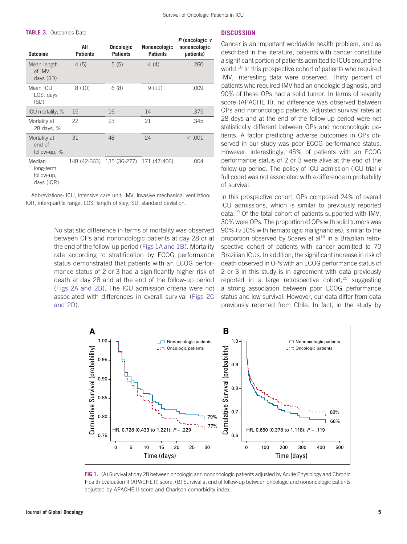<span id="page-4-0"></span>**TABLE 3. Outcomes Data** 

| <b>Outcome</b>                                  | All<br><b>Patients</b> | <b>Oncologic</b><br><b>Patients</b>    | Nononcologic<br><b>Patients</b> | P (oncologic v<br>nononcologic<br>patients) |
|-------------------------------------------------|------------------------|----------------------------------------|---------------------------------|---------------------------------------------|
| Mean length<br>of IMV.<br>days (SD)             | 4(5)                   | 5(5)                                   | 4(4)                            | .260                                        |
| Mean ICU<br>LOS, days<br>(SD)                   | 8(10)                  | 6(8)                                   | 9(11)                           | .009                                        |
| ICU mortality, %                                | 15                     | 16                                     | 14                              | .375                                        |
| Mortality at<br>28 days, %                      | 22                     | 23                                     | 21                              | .345                                        |
| Mortality at<br>end of<br>follow-up, $%$        | 31                     | 48                                     | 24                              | < .001                                      |
| Median<br>long-term<br>follow-up.<br>days (IQR) |                        | 148 (42-363) 135 (36-277) 171 (47-406) |                                 | .004                                        |

Abbreviations: ICU, intensive care unit; IMV, invasive mechanical ventilation; IQR, interquartile range; LOS, length of stay; SD, standard deviation.

> No statistic difference in terms of mortality was observed between OPs and nononcologic patients at day 28 or at the end of the follow-up period (Figs 1A and 1B). Mortality rate according to stratification by ECOG performance status demonstrated that patients with an ECOG performance status of 2 or 3 had a significantly higher risk of death at day 28 and at the end of the follow-up period ([Figs 2A and 2B](#page-5-0)). The ICU admission criteria were not associated with differences in overall survival ([Figs 2C](#page-5-0) [and 2D](#page-5-0)).

## **DISCUSSION**

Cancer is an important worldwide health problem, and as described in the literature, patients with cancer constitute a significant portion of patients admitted to ICUs around the world.<sup>[16](#page-6-0)</sup> In this prospective cohort of patients who required IMV, interesting data were observed. Thirty percent of patients who required IMV had an oncologic diagnosis, and 90% of these OPs had a solid tumor. In terms of severity score (APACHE II), no difference was observed between OPs and nononcologic patients. Adjusted survival rates at 28 days and at the end of the follow-up period were not statistically different between OPs and nononcologic patients. A factor predicting adverse outcomes in OPs observed in our study was poor ECOG performance status. However, interestingly, 45% of patients with an ECOG performance status of 2 or 3 were alive at the end of the follow-up period. The policy of ICU admission (ICU trial v full code) was not associated with a difference in probability of survival.

In this prospective cohort, OPs composed 24% of overall ICU admissions, which is similar to previously reported data.<sup>[19](#page-7-0)</sup> Of the total cohort of patients supported with IMV, 30% were OPs. The proportion of OPs with solid tumors was 90% (v 10% with hematologic malignancies), similar to the proportion observed by Soares et  $al<sup>19</sup>$  $al<sup>19</sup>$  $al<sup>19</sup>$  in a Brazilian retrospective cohort of patients with cancer admitted to 70 Brazilian ICUs. In addition, the significant increase in risk of death observed in OPs with an ECOG performance status of 2 or 3 in this study is in agreement with data previously reported in a large retrospective cohort,<sup>[20](#page-7-0)</sup> suggesting a strong association between poor ECOG performance status and low survival. However, our data differ from data previously reported from Chile. In fact, in the study by



FIG 1. (A) Survival at day 28 between oncologic and nononcologic patients adjusted by Acute Physiology and Chronic Health Evaluation II (APACHE II) score. (B) Survival at end of follow-up between oncologic and nononcologic patients adjusted by APACHE II score and Charlson comorbidity index.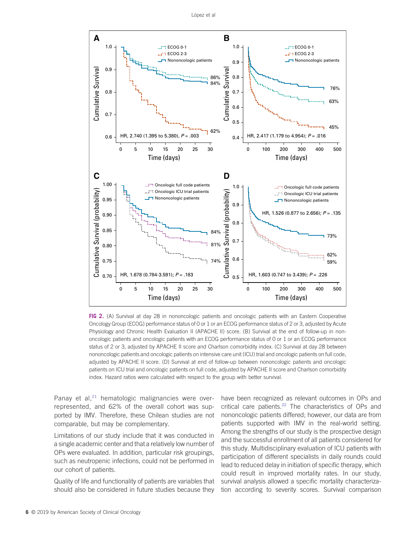<span id="page-5-0"></span>

FIG 2. (A) Survival at day 28 in nononcologic patients and oncologic patients with an Eastern Cooperative Oncology Group (ECOG) performance status of 0 or 1 or an ECOG performance status of 2 or 3, adjusted by Acute Physiology and Chronic Health Evaluation II (APACHE II) score. (B) Survival at the end of follow-up in nononcologic patients and oncologic patients with an ECOG performance status of 0 or 1 or an ECOG performance status of 2 or 3, adjusted by APACHE II score and Charlson comorbidity index. (C) Survival at day 28 between nononcologic patients and oncologic patients on intensive care unit (ICU) trial and oncologic patients on full code, adjusted by APACHE II score. (D) Survival at end of follow-up between nononcologic patients and oncologic patients on ICU trial and oncologic patients on full code, adjusted by APACHE II score and Charlson comorbidity index. Hazard ratios were calculated with respect to the group with better survival.

Panay et al, $^{21}$  $^{21}$  $^{21}$  hematologic malignancies were overrepresented, and 62% of the overall cohort was supported by IMV. Therefore, these Chilean studies are not comparable, but may be complementary.

Limitations of our study include that it was conducted in a single academic center and that a relatively low number of OPs were evaluated. In addition, particular risk groupings, such as neutropenic infections, could not be performed in our cohort of patients.

Quality of life and functionality of patients are variables that should also be considered in future studies because they

have been recognized as relevant outcomes in OPs and critical care patients.<sup>[22](#page-7-0)</sup> The characteristics of OPs and nononcologic patients differed; however, our data are from patients supported with IMV in the real-world setting. Among the strengths of our study is the prospective design and the successful enrollment of all patients considered for this study. Multidisciplinary evaluation of ICU patients with participation of different specialists in daily rounds could lead to reduced delay in initiation of specific therapy, which could result in improved mortality rates. In our study, survival analysis allowed a specific mortality characterization according to severity scores. Survival comparison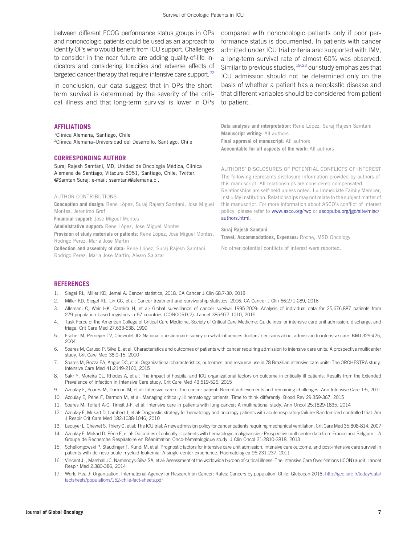<span id="page-6-0"></span>between different ECOG performance status groups in OPs and nononcologic patients could be used as an approach to identify OPs who would benefit from ICU support. Challenges to consider in the near future are adding quality-of-life indicators and considering toxicities and adverse effects of targeted cancer therapy that require intensive care support.<sup>22</sup>

In conclusion, our data suggest that in OPs the shortterm survival is determined by the severity of the critical illness and that long-term survival is lower in OPs

AFFILIATIONS

<sup>1</sup>Clínica Alemana, Santiago, Chile <sup>2</sup>Clínica Alemana-Universidad del Desarrollo, Santiago, Chile

#### CORRESPONDING AUTHOR

Suraj Rajesh Samtani, MD, Unidad de Oncología Médica, Clínica Alemana de Santiago, Vitacura 5951, Santiago, Chile; Twitter: @SamtaniSuraj; e-mail: [ssamtani@alemana.cl.](mailto:ssamtani@alemana.cl)

#### AUTHOR CONTRIBUTIONS

Conception and design: Rene López, Suraj Rajesh Samtani, Jose Miguel Montes, Jeronimo Graf

Financial support: Jose Miguel Montes

Administrative support: Rene López, Jose Miguel Montes

Provision of study materials or patients: Rene López, Jose Miguel Montes, Rodrigo Perez, Maria Jose Martin

Collection and assembly of data: Rene López, Suraj Rajesh Samtani, Rodrigo Perez, Maria Jose Martin, Alvaro Salazar

compared with nononcologic patients only if poor performance status is documented. In patients with cancer admitted under ICU trial criteria and supported with IMV, a long-term survival rate of almost 60% was observed. Similar to previous studies,  $19,23$  our study emphasizes that ICU admission should not be determined only on the basis of whether a patient has a neoplastic disease and that different variables should be considered from patient to patient.

Data analysis and interpretation: Rene López, Suraj Rajesh Samtani Manuscript writing: All authors Final approval of manuscript: All authors Accountable for all aspects of the work: All authors

AUTHORS' DISCLOSURES OF POTENTIAL CONFLICTS OF INTEREST The following represents disclosure information provided by authors of this manuscript. All relationships are considered compensated.

Relationships are self-held unless noted. I = Immediate Family Member, Inst = My Institution. Relationships may not relate to the subject matter of this manuscript. For more information about ASCO's conflict of interest policy, please refer to [www.asco.org/rwc](http://www.asco.org/rwc) or [ascopubs.org/jgo/site/misc/](http://ascopubs.org/jgo/site/misc/authors.html) [authors.html.](http://ascopubs.org/jgo/site/misc/authors.html)

#### Suraj Rajesh Samtani

Travel, Accommodations, Expenses: Roche, MSD Oncology

No other potential conflicts of interest were reported.

#### **REFERENCES**

- 1. Siegel RL, Miller KD, Jemal A: Cancer statistics, 2018. CA Cancer J Clin 68:7-30, 2018
- 2. Miller KD, Siegel RL, Lin CC, et al: Cancer treatment and survivorship statistics, 2016. CA Cancer J Clin 66:271-289, 2016
- 3. Allemani C, Weir HK, Carreira H, et al: Global surveillance of cancer survival 1995-2009: Analysis of individual data for 25,676,887 patients from 279 population-based registries in 67 countries (CONCORD-2). Lancet 385:977-1010, 2015
- 4. Task Force of the American College of Critical Care Medicine, Society of Critical Care Medicine: Guidelines for intensive care unit admission, discharge, and triage. Crit Care Med 27:633-638, 1999
- 5. Escher M, Perneger TV, Chevrolet JC: National questionnaire survey on what influences doctors' decisions about admission to intensive care. BMJ 329:425, 2004
- 6. Soares M, Caruso P, Silva E, et al: Characteristics and outcomes of patients with cancer requiring admission to intensive care units: A prospective multicenter study. Crit Care Med 38:9-15, 2010
- 7. Soares M, Bozza FA, Angus DC, et al: Organizational characteristics, outcomes, and resource use in 78 Brazilian intensive care units: The ORCHESTRA study. Intensive Care Med 41:2149-2160, 2015
- 8. Sakr Y, Moreira CL, Rhodes A, et al: The impact of hospital and ICU organizational factors on outcome in critically ill patients: Results from the Extended Prevalence of Infection in Intensive Care study. Crit Care Med 43:519-526, 2015
- 9. Azoulay E, Soares M, Darmon M, et al: Intensive care of the cancer patient: Recent achievements and remaining challenges. Ann Intensive Care 1:5, 2011
- 10. Azoulay E, Pene F, Darmon M, et al: Managing critically Ill hematology patients: Time to think differently. Blood Rev 29:359-367, 2015 `
- 11. Soares M, Toffart A-C, Timsit J-F, et al: Intensive care in patients with lung cancer: A multinational study. Ann Oncol 25:1829-1835, 2014
- 12. Azoulay E, Mokart D, Lambert J, et al: Diagnostic strategy for hematology and oncology patients with acute respiratory failure: Randomized controlled trial. Am J Respir Crit Care Med 182:1038-1046, 2010
- 13. Lecuyer L, Chevret S, Thiery G, et al: The ICU trial: A new admission policy for cancer patients requiring mechanical ventilation. Crit Care Med 35:808-814, 2007
- 14. Azoulay E, Mokart D, Pène F, et al: Outcomes of critically ill patients with hematologic malignancies: Prospective multicenter data from France and Belgium A Groupe de Recherche Respiratoire en Réanimation Onco-hématologique study. J Clin Oncol 31:2810-2818, 2013
- 15. Schellongowski P, Staudinger T, Kundi M, et al: Prognostic factors for intensive care unit admission, intensive care outcome, and post-intensive care survival in patients with de novo acute myeloid leukemia: A single center experience. Haematologica 96:231-237, 2011
- 16. Vincent JL, Marshall JC, Namendys-Silva SA, et al: Assessment of the worldwide burden of critical illness: The Intensive Care Over Nations (ICON) audit. Lancet Respir Med 2:380-386, 2014
- 17. World Health Organization, International Agency for Research on Cancer: Rates: Cancers by population: Chile; Globocan 2018. [http://gco.iarc.fr/today/data/](http://gco.iarc.fr/today/data/factsheets/populations/152-chile-fact-sheets.pdf) [factsheets/populations/152-chile-fact-sheets.pdf](http://gco.iarc.fr/today/data/factsheets/populations/152-chile-fact-sheets.pdf)